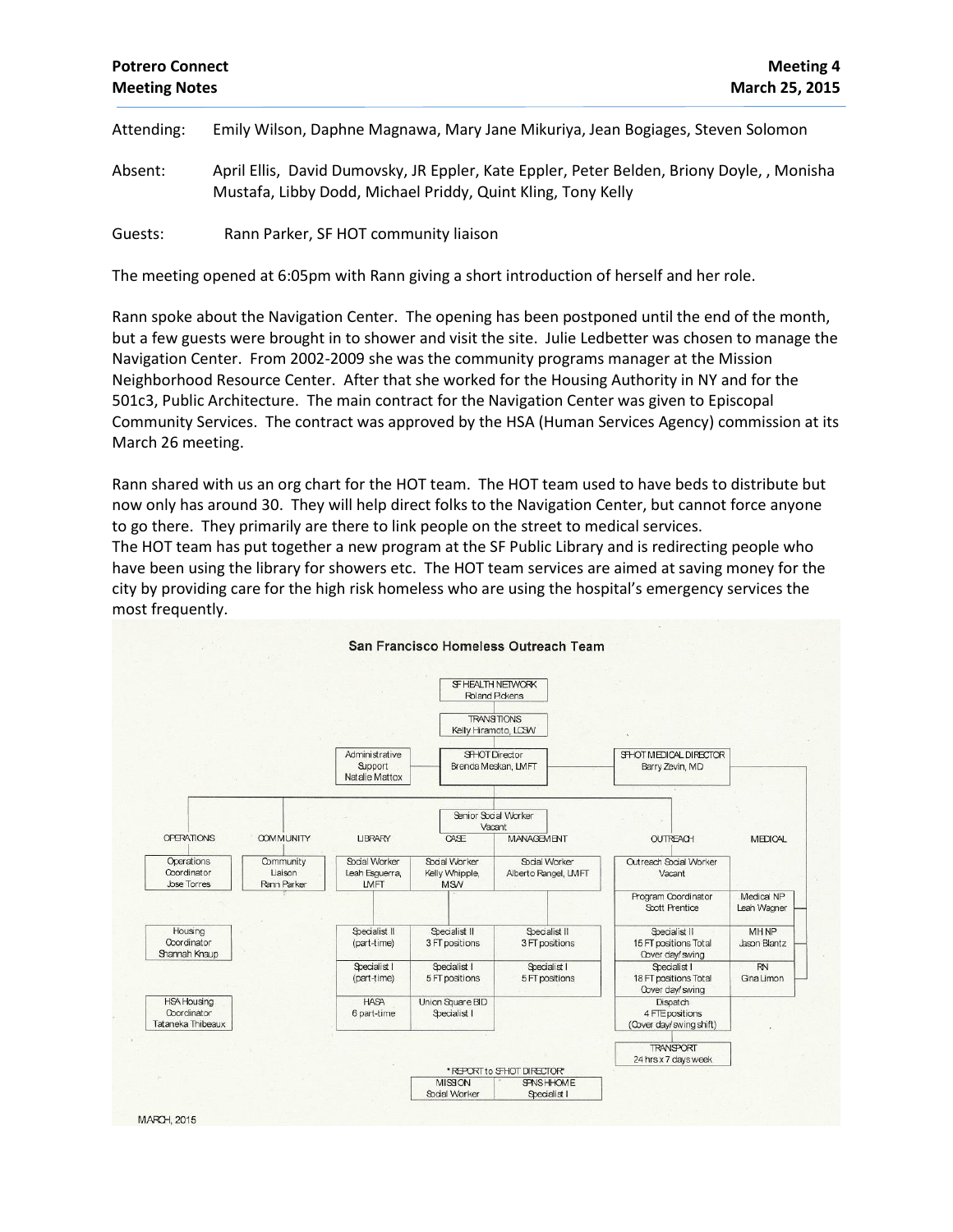## **Potrero Connect Meeting 4 Meeting Notes March 25, 2015**

Attending: Emily Wilson, Daphne Magnawa, Mary Jane Mikuriya, Jean Bogiages, Steven Solomon

Absent: April Ellis, David Dumovsky, JR Eppler, Kate Eppler, Peter Belden, Briony Doyle, , Monisha Mustafa, Libby Dodd, Michael Priddy, Quint Kling, Tony Kelly

Guests: Rann Parker, SF HOT community liaison

The meeting opened at 6:05pm with Rann giving a short introduction of herself and her role.

Rann spoke about the Navigation Center. The opening has been postponed until the end of the month, but a few guests were brought in to shower and visit the site. Julie Ledbetter was chosen to manage the Navigation Center. From 2002-2009 she was the community programs manager at the Mission Neighborhood Resource Center. After that she worked for the Housing Authority in NY and for the 501c3, Public Architecture. The main contract for the Navigation Center was given to Episcopal Community Services. The contract was approved by the HSA (Human Services Agency) commission at its March 26 meeting.

Rann shared with us an org chart for the HOT team. The HOT team used to have beds to distribute but now only has around 30. They will help direct folks to the Navigation Center, but cannot force anyone to go there. They primarily are there to link people on the street to medical services.

The HOT team has put together a new program at the SF Public Library and is redirecting people who have been using the library for showers etc. The HOT team services are aimed at saving money for the city by providing care for the high risk homeless who are using the hospital's emergency services the most frequently.